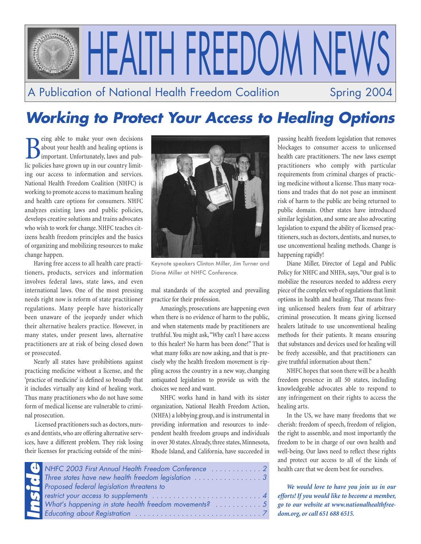

# **Working to Protect Your Access to Healing Options**

Being able to make your own decisions<br>about your health and healing options is<br>important. Unfortunately, laws and pub-<br>lic policies have grown up in our country limiteing able to make your own decisions about your health and healing options is important. Unfortunately, laws and pubing our access to information and services. National Health Freedom Coalition (NHFC) is working to promote access to maximum healing and health care options for consumers. NHFC analyzes existing laws and public policies, develops creative solutions and trains advocates who wish to work for change. NHFC teaches citizens health freedom principles and the basics of organizing and mobilizing resources to make change happen.

Having free access to all health care practitioners, products, services and information involves federal laws, state laws, and even international laws. One of the most pressing needs right now is reform of state practitioner regulations. Many people have historically been unaware of the jeopardy under which their alternative healers practice. However, in many states, under present laws, alternative practitioners are at risk of being closed down or prosecuted.

Nearly all states have prohibitions against practicing medicine without a license, and the 'practice of medicine' is defined so broadly that it includes virtually any kind of healing work. Thus many practitioners who do not have some form of medical license are vulnerable to criminal prosecution.

Licensed practitioners such as doctors, nurses and dentists, who are offering alternative services, have a different problem. They risk losing their licenses for practicing outside of the mini-



Keynote speakers Clinton Miller, Jim Turner and Diane Miller at NHFC Conference.

mal standards of the accepted and prevailing practice for their profession.

Amazingly, prosecutions are happening even when there is no evidence of harm to the public, and when statements made by practitioners are truthful. You might ask, "Why can't I have access to this healer? No harm has been done!" That is what many folks are now asking, and that is precisely why the health freedom movement is rippling across the country in a new way, changing antiquated legislation to provide us with the choices we need and want.

NHFC works hand in hand with its sister organization, National Health Freedom Action, (NHFA) a lobbying group, and is instrumental in providing information and resources to independent health freedom groups and individuals in over 30 states.Already, three states, Minnesota, Rhode Island, and California, have succeeded in

| NHFC 2003 First Annual Health Freedom Conference  2 |
|-----------------------------------------------------|
|                                                     |
| <b>Proposed federal legislation threatens to</b>    |
|                                                     |
|                                                     |
|                                                     |

passing health freedom legislation that removes blockages to consumer access to unlicensed health care practitioners. The new laws exempt practitioners who comply with particular requirements from criminal charges of practicing medicine without a license. Thus many vocations and trades that do not pose an imminent risk of harm to the public are being returned to public domain. Other states have introduced similar legislation, and some are also advocating legislation to expand the ability of licensed practitioners, such as doctors, dentists, and nurses, to use unconventional healing methods. Change is happening rapidly!

Diane Miller, Director of Legal and Public Policy for NHFC and NHFA, says, "Our goal is to mobilize the resources needed to address every piece of the complex web of regulations that limit options in health and healing. That means freeing unlicensed healers from fear of arbitrary criminal prosecution. It means giving licensed healers latitude to use unconventional healing methods for their patients. It means ensuring that substances and devices used for healing will be freely accessible, and that practitioners can give truthful information about them."

NHFC hopes that soon there will be a health freedom presence in all 50 states, including knowledgeable advocates able to respond to any infringement on their rights to access the healing arts.

In the US, we have many freedoms that we cherish: freedom of speech, freedom of religion, the right to assemble, and most importantly the freedom to be in charge of our own health and well-being. Our laws need to reflect these rights and protect our access to all of the kinds of health care that we deem best for ourselves.

*We would love to have you join us in our efforts! If you would like to become a member, go to our website at www.nationalhealthfreedom.org, or call 651 688 6515.*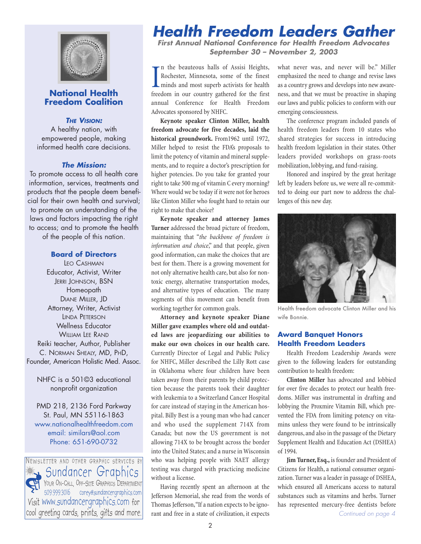

### **National Health Freedom Coalition**

**THE VISION:**

A healthy nation, with empowered people, making informed health care decisions.

#### **The Mission:**

To promote access to all health care information, services, treatments and products that the people deem beneficial for their own health and survival; to promote an understanding of the laws and factors impacting the right to access; and to promote the health of the people of this nation.

#### **Board of Directors**

LEO CASHMAN Educator, Activist, Writer JERRI JOHNSON, BSN Homeopath DIANE MILLER, JD Attorney, Writer, Activist LINDA PETERSON Wellness Educator WILLIAM LEE RAND Reiki teacher, Author, Publisher C. NORMAN SHEALY, MD, PHD, Founder, American Holistic Med. Assoc.

NHFC is a 501©3 educational nonprofit organization

PMD 218, 2136 Ford Parkway St. Paul, MN 55116-1863 www.nationalhealthfreedom.com email: similars@aol.com Phone: 651-690-0732

NEWSLETTER AND OTHER GRAPHIC SERVICES BY Sundancer Graphics YOUR ON-CALL, OFF-SITE GRAPHICS DEPARTMENT 509.999.3016 corey@sundancergraphics.com Visit www.sundancergraphics.com for cool greeting cards, prints, gifts and more.

# **Health Freedom Leaders Gather**

**First Annual National Conference for Health Freedom Advocates September 30 – November 2, 2003**

In the beauteous halls of Assisi Heights,<br>Rochester, Minnesota, some of the finest<br>minds and most superb activists for health<br>freedom in our country gathered for the first n the beauteous halls of Assisi Heights, Rochester, Minnesota, some of the finest minds and most superb activists for health annual Conference for Health Freedom Advocates sponsored by NHFC.

**Keynote speaker Clinton Miller, health freedom advocate for five decades, laid the historical groundwork.** From1962 until 1972, Miller helped to resist the FDA's proposals to limit the potency of vitamin and mineral supplements, and to require a doctor's prescription for higher potencies. Do you take for granted your right to take 500 mg of vitamin C every morning? Where would we be today if it were not for heroes like Clinton Miller who fought hard to retain our right to make that choice?

**Keynote speaker and attorney James Turner** addressed the broad picture of freedom, maintaining that "*the backbone of freedom is information and choice*," and that people, given good information, can make the choices that are best for them. There is a growing movement for not only alternative health care, but also for nontoxic energy, alternative transportation modes, and alternative types of education. The many segments of this movement can benefit from working together for common goals.

**Attorney and keynote speaker Diane Miller gave examples where old and outdated laws are jeopardizing our abilities to make our own choices in our health care.** Currently Director of Legal and Public Policy for NHFC, Miller described the Lilly Rott case in Oklahoma where four children have been taken away from their parents by child protection because the parents took their daughter with leukemia to a Switzerland Cancer Hospital for care instead of staying in the American hospital. Billy Best is a young man who had cancer and who used the supplement 714X from Canada; but now the US government is not allowing 714X to be brought across the border into the United States; and a nurse in Wisconsin who was helping people with NAET allergy testing was charged with practicing medicine without a license.

Having recently spent an afternoon at the Jefferson Memorial, she read from the words of Thomas Jefferson,"If a nation expects to be ignorant and free in a state of civilization, it expects what never was, and never will be." Miller emphasized the need to change and revise laws as a country grows and develops into new awareness, and that we must be proactive in shaping our laws and public policies to conform with our emerging consciousness.

The conference program included panels of health freedom leaders from 10 states who shared strategies for success in introducing health freedom legislation in their states. Other leaders provided workshops on grass-roots mobilization, lobbying, and fund-raising.

Honored and inspired by the great heritage left by leaders before us, we were all re-committed to doing our part now to address the challenges of this new day.



Health freedom advocate Clinton Miller and his wife Bonnie.

#### **Award Banquet Honors Health Freedom Leaders**

Health Freedom Leadership Awards were given to the following leaders for outstanding contribution to health freedom:

**Clinton Miller** has advocated and lobbied for over five decades to protect our health freedoms. Miller was instrumental in drafting and lobbying the Proxmire Vitamin Bill, which prevented the FDA from limiting potency on vitamins unless they were found to be intrinsically dangerous, and also in the passage of the Dietary Supplement Health and Education Act (DSHEA) of 1994.

**Jim Turner, Esq.,** is founder and President of Citizens for Health, a national consumer organization. Turner was a leader in passage of DSHEA, which ensured all Americans access to natural substances such as vitamins and herbs. Turner has represented mercury-free dentists before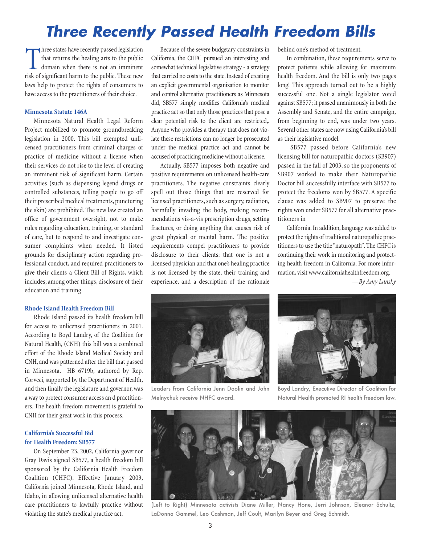# **Three Recently Passed Health Freedom Bills**

Three states have recently passed legislation<br>that returns the healing arts to the public<br>domain when there is not an imminent<br>risk of significant harm to the public. These new hree states have recently passed legislation that returns the healing arts to the public domain when there is not an imminent laws help to protect the rights of consumers to have access to the practitioners of their choice.

#### **Minnesota Statute 146A**

Minnesota Natural Health Legal Reform Project mobilized to promote groundbreaking legislation in 2000. This bill exempted unlicensed practitioners from criminal charges of practice of medicine without a license when their services do not rise to the level of creating an imminent risk of significant harm. Certain activities (such as dispensing legend drugs or controlled substances, telling people to go off their prescribed medical treatments, puncturing the skin) are prohibited. The new law created an office of government oversight, not to make rules regarding education, training, or standard of care, but to respond to and investigate consumer complaints when needed. It listed grounds for disciplinary action regarding professional conduct, and required practitioners to give their clients a Client Bill of Rights, which includes, among other things, disclosure of their education and training.

#### **Rhode Island Health Freedom Bill**

Rhode Island passed its health freedom bill for access to unlicensed practitioners in 2001. According to Boyd Landry, of the Coalition for Natural Health, (CNH) this bill was a combined effort of the Rhode Island Medical Society and CNH, and was patterned after the bill that passed in Minnesota. HB 6719b, authored by Rep. Corveci, supported by the Department of Health, and then finally the legislature and governor, was a way to protect consumer access an d practitioners. The health freedom movement is grateful to CNH for their great work in this process.

#### **California's Successful Bid for Health Freedom: SB577**

On September 23, 2002, California governor Gray Davis signed SB577, a health freedom bill sponsored by the California Health Freedom Coalition (CHFC). Effective January 2003, California joined Minnesota, Rhode Island, and Idaho, in allowing unlicensed alternative health care practitioners to lawfully practice without violating the state's medical practice act.

Because of the severe budgetary constraints in California, the CHFC pursued an interesting and somewhat technical legislative strategy - a strategy that carried no costs to the state.Instead of creating an explicit governmental organization to monitor and control alternative practitioners as Minnesota did, SB577 simply modifies California's medical practice act so that only those practices that pose a clear potential risk to the client are restricted,. Anyone who provides a therapy that does not violate these restrictions can no longer be prosecuted under the medical practice act and cannot be accused of practicing medicine without a license.

Actually, SB577 imposes both negative and positive requirements on unlicensed health-care practitioners. The negative constraints clearly spell out those things that are reserved for licensed practitioners, such as surgery, radiation, harmfully invading the body, making recommendations vis-a-vis prescription drugs, setting fractures, or doing anything that causes risk of great physical or mental harm. The positive requirements compel practitioners to provide disclosure to their clients: that one is not a licensed physician and that one's healing practice is not licensed by the state, their training and experience, and a description of the rationale

behind one's method of treatment.

In combination, these requirements serve to protect patients while allowing for maximum health freedom. And the bill is only two pages long! This approach turned out to be a highly successful one. Not a single legislator voted against SB577; it passed unanimously in both the Assembly and Senate, and the entire campaign, from beginning to end, was under two years. Several other states are now using California's bill as their legislative model.

SB577 passed before California's new licensing bill for naturopathic doctors (SB907) passed in the fall of 2003, so the proponents of SB907 worked to make their Naturopathic Doctor bill successfully interface with SB577 to protect the freedoms won by SB577. A specific clause was added to SB907 to preserve the rights won under SB577 for all alternative practitioners in

California. In addition, language was added to protect the rights of traditional naturopathic practitioners to use the title "naturopath". The CHFC is continuing their work in monitoring and protecting health freedom in California. For more information, visit www.californiahealthfreedom.org.

*—By Amy Lansky*



Leaders from California Jenn Doolin and John Melnychuk receive NHFC award.



Boyd Landry, Executive Director of Coalition for Natural Health promoted RI health freedom law.



(Left to Right) Minnesota activists Diane Miller, Nancy Hone, Jerri Johnson, Eleanor Schultz, LaDonna Gammel, Leo Cashman, Jeff Coult, Marilyn Beyer and Greg Schmidt.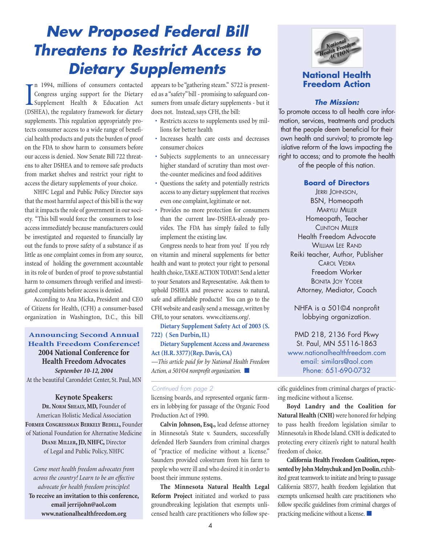# **New Proposed Federal Bill Threatens to Restrict Access to Dietary Supplements**

I<sub>OS</sub> n 1994, millions of consumers contacted Congress urging support for the Dietary Supplement Health & Education Act (DSHEA), the regulatory framework for dietary supplements. This regulation appropriately protects consumer access to a wide range of beneficial health products and puts the burden of proof on the FDA to show harm to consumers before our access is denied. Now Senate Bill 722 threatens to alter DSHEA and to remove safe products from market shelves and restrict your right to access the dietary supplements of your choice.

NHFC Legal and Public Policy Director says that the most harmful aspect of this bill is the way that it impacts the role of government in our society. "This bill would force the consumers to lose access immediately because manufacturers could be investigated and requested to financially lay out the funds to prove safety of a substance if as little as one complaint comes in from any source, instead of holding the government accountable in its role of burden of proof to prove substantial harm to consumers through verified and investigated complaints before access is denied.

According to Ana Micka, President and CEO of Citizens for Health, (CFH) a consumer-based organization in Washington, D.C., this bill

### **Announcing Second Annual Health Freedom Conference! 2004 National Conference for Health Freedom Advocates** *September 10-12, 2004*

At the beautiful Carondelet Center, St. Paul, MN

#### **Keynote Speakers:**

**DR. NORM SHEALY, MD,** Founder of American Holistic Medical Association **FORMER CONGRESSMAN BERKELY BEDELL,** Founder of National Foundation for Alternative Medicine **DIANE MILLER, JD, NHFC,** Director of Legal and Public Policy, NHFC

*Come meet health freedom advocates from across the country! Learn to be an effective advocate for health freedom principles*! **To receive an invitation to this conference, email jerrijohn@aol.com www.nationalhealthfreedom.org**

appears to be "gathering steam." S722 is presented as a "safety" bill - promising to safeguard consumers from unsafe dietary supplements - but it does not. Instead, says CFH, the bill:

- Restricts access to supplements used by millions for better health
- Increases health care costs and decreases consumer choices
- Subjects supplements to an unnecessary higher standard of scrutiny than most overthe-counter medicines and food additives
- Questions the safety and potentially restricts access to any dietary supplement that receives even one complaint, legitimate or not.
- Provides no more protection for consumers than the current law-DSHEA-already provides. The FDA has simply failed to fully implement the existing law.

Congress needs to hear from you! If you rely on vitamin and mineral supplements for better health and want to protect your right to personal health choice,TAKE ACTION TODAY! Send a letter to your Senators and Representative. Ask them to uphold DSHEA and preserve access to natural, safe and affordable products! You can go to the CFH website and easily send a message, written by CFH, to your senators. www.citizens.org/.

**Dietary Supplement Safety Act of 2003 (S. 722) ( Sen Durbin, IL)**

#### **Dietary Supplement Access and Awareness Act (H.R. 3377)(Rep. Davis, CA)**

*—This article paid for by National Health Freedom Action, a 501©4 nonprofit organization.* ■

#### Continued from page 2

licensing boards, and represented organic farmers in lobbying for passage of the Organic Food Production Act of 1990.

**Calvin Johnson, Esq.,** lead defense attorney in Minnesota's State v. Saunders, successfully defended Herb Saunders from criminal charges of "practice of medicine without a license." Saunders provided colostrum from his farm to people who were ill and who desired it in order to boost their immune systems.

**The Minnesota Natural Health Legal Reform Project** initiated and worked to pass groundbreaking legislation that exempts unlicensed health care practitioners who follow spe-



### **National Health Freedom Action**

#### **The Mission:**

To promote access to all health care information, services, treatments and products that the people deem beneficial for their own health and survival; to promote legislative reform of the laws impacting the right to access; and to promote the health of the people of this nation.

**Board of Directors**

JERRI JOHNSON, BSN, Homeopath MARYLU MILLER Homeopath, Teacher CLINTON MILLER Health Freedom Advocate WILLIAM LEE RAND Reiki teacher, Author, Publisher CAROL VEDRA Freedom Worker BONITA JOY YODER Attorney, Mediator, Coach

NHFA is a 501©4 nonprofit lobbying organization.

PMD 218, 2136 Ford Pkwy St. Paul, MN 55116-1863 www.nationalhealthfreedom.com email: similars@aol.com Phone: 651-690-0732

cific guidelines from criminal charges of practicing medicine without a license.

**Boyd Landry and the Coalition for Natural Health (CNH)** were honored for helping to pass health freedom legislation similar to Minnesota's in Rhode Island. CNH is dedicated to protecting every citizen's right to natural health freedom of choice.

**California Health Freedom Coalition, repre**sented by John Melnychuk and Jen Doolin, exhibited great teamwork to initiate and bring to passage California SB577, health freedom legislation that exempts unlicensed health care practitioners who follow specific guidelines from criminal charges of practicing medicine without a license. ■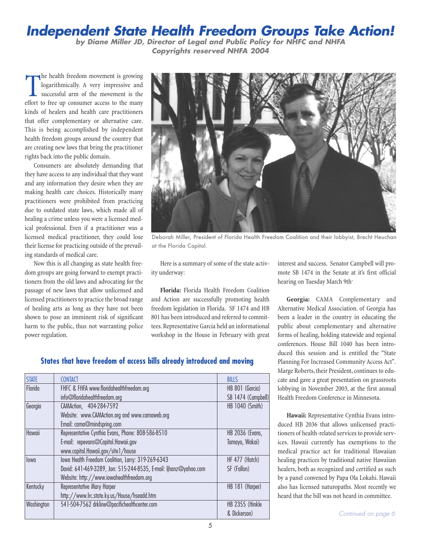## **Independent State Health Freedom Groups Take Action!**

**by Diane Miller JD, Director of Legal and Public Policy for NHFC and NHFA Copyrights reserved NHFA 2004**

The health freedom movement is growing<br>logarithmically. A very impressive and<br>successful arm of the movement is the<br>effort to free up consumer access to the many he health freedom movement is growing logarithmically. A very impressive and successful arm of the movement is the kinds of healers and health care practitioners that offer complementary or alternative care. This is being accomplished by independent health freedom groups around the country that are creating new laws that bring the practitioner rights back into the public domain.

Consumers are absolutely demanding that they have access to any individual that they want and any information they desire when they are making health care choices. Historically many practitioners were prohibited from practicing due to outdated state laws, which made all of healing a crime unless you were a licensed medical professional. Even if a practitioner was a licensed medical practitioner, they could lose their license for practicing outside of the prevailing standards of medical care.

Now this is all changing as state health freedom groups are going forward to exempt practitioners from the old laws and advocating for the passage of new laws that allow unlicensed and licensed practitioners to practice the broad range of healing arts as long as they have not been shown to pose an imminent risk of significant harm to the public, thus not warranting police power regulation.



Deborah Miller, President of Florida Health Freedom Coalition and their lobbyist, Brecht Heuchan at the Florida Capitol.

Here is a summary of some of the state activity underway:

**Florida:** Florida Health Freedom Coalition and Action are successfully promoting health freedom legislation in Florida. SF 1474 and HB 801 has been introduced and referred to committees. Representative Garcia held an informational workshop in the House in February with great

interest and success. Senator Campbell will promote SB 1474 in the Senate at it's first official hearing on Tuesday March 9th.

**Georgia:** CAMA Complementary and Alternative Medical Association. of Georgia has been a leader in the country in educating the public about complementary and alternative forms of healing, holding statewide and regional conferences. House Bill 1040 has been introduced this session and is entitled the "State Planning For Increased Community Access Act". Marge Roberts, their President, continues to educate and gave a great presentation on grassroots lobbying in November 2003, at the first annual Health Freedom Conference in Minnesota.

**Hawaii:** Representative Cynthia Evans introduced HB 2036 that allows unlicensed practitioners of health-related services to provide services. Hawaii currently has exemptions to the medical practice act for traditional Hawaiian healing practices by traditional native Hawaiian healers, both as recognized and certified as such by a panel convened by Papa Ola Lokahi. Hawaii also has licensed naturopaths. Most recently we heard that the bill was not heard in committee.

### **States that have freedom of access bills already introduced and moving**

| <b>STATE</b> | <b>CONTACT</b>                                                   | <b>BILLS</b>           |
|--------------|------------------------------------------------------------------|------------------------|
| Florida      | FHFC & FHFA www.floridahealthfreedom.org                         | HB 801 (Garcia)        |
|              | info@floridahealthfreedom.org                                    | SB 1474 (Campbell)     |
| Georgia      | CAMAction, 404-284-7592                                          | HB 1040 (Smith)        |
|              | Website: www.CAMAction.org and www.camaweb.org                   |                        |
|              | Email: cama@mindspring.com                                       |                        |
| Hawaii       | Representative Cynthia Evans, Phone: 808-586-8510                | <b>HB 2036 (Evans,</b> |
|              | E-mail: repevans@Capitol.Hawaii.gov                              | Tamayo, Wakai)         |
|              | www.capitol.Hawaii.gov/site1/house                               |                        |
| lowg         | lowa Health Freedom Coalition, Larry: 319-269-6343               | HF 477 (Hatch)         |
|              | David: 641-469-3289, Jon: 515-244-8535, E-mail: ljhanz@yahoo.com | SF (Fallon)            |
|              | Website: http://www.iowahealthfreedom.org                        |                        |
| Kentucky     | Representative Mary Harper                                       | HB 181 (Harper)        |
|              | http://www.lrc.state.ky.us/House/hseadd.htm                      |                        |
| Washington   | 541-504-7562 drkline@pacifichealthcenter.com                     | HB 2355 (Hinkle        |
|              |                                                                  | & Dickerson)           |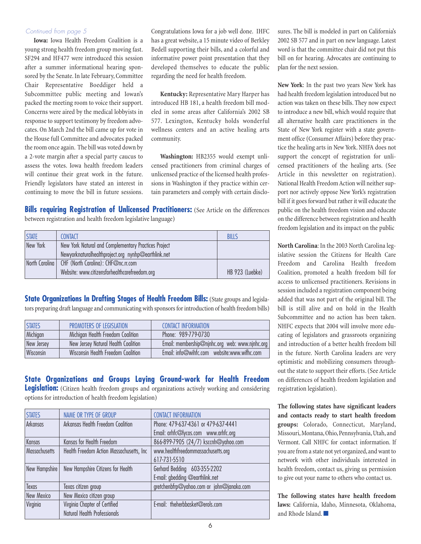#### Continued from page 5

**Iowa:** Iowa Health Freedom Coalition is a young strong health freedom group moving fast. SF294 and HF477 were introduced this session after a summer informational hearing sponsored by the Senate. In late February, Committee Chair Representative Boeddiger held a Subcommittee public meeting and Iowan's packed the meeting room to voice their support. Concerns were aired by the medical lobbyists in response to support testimony by freedom advocates. On March 2nd the bill came up for vote in the House full Committee and advocates packed the room once again. The bill was voted down by a 2-vote margin after a special party caucus to assess the votes. Iowa health freedom leaders will continue their great work in the future. Friendly legislators have stated an interest in continuing to move the bill in future sessions.

Congratulations Iowa for a job well done. IHFC has a great website, a 15 minute video of Berkley Bedell supporting their bills, and a colorful and informative power point presentation that they developed themselves to educate the public regarding the need for health freedom.

**Kentucky:** Representative Mary Harper has introduced HB 181, a health freedom bill modeled in some areas after California's 2002 SB 577. Lexington, Kentucky holds wonderful wellness centers and an active healing arts community.

**Washington:** HB2355 would exempt unlicensed practitioners from criminal charges of unlicensed practice of the licensed health professions in Washington if they practice within certain parameters and comply with certain disclo-

**Bills requiring Registration of Unlicensed Practitioners:** (See Article on the differences between registration and health freedom legislative language)

| <b>STATE</b>   | <b>CONTACT</b>                                       | <b>BILLS</b>    |
|----------------|------------------------------------------------------|-----------------|
| New York       | New York Natural and Complementary Practices Project |                 |
|                | Newyorknaturalhealthproject.org nynhp@earthlink.net  |                 |
| North Carolina | CHF (North Carolina): CHF@nc.rr.com                  |                 |
|                | Website: www.citizensforhealthcarefreedom.org        | HB 923 (Luebke) |

**State Organizations In Drafting Stages of Health Freedom Bills:** (State groups and legislators preparing draft language and communicating with sponsors for introduction of health freedom bills)

| <b>STATES</b> | PROMOTERS OF LEGISLATION            | <b>CONTACT INFORMATION</b>                     |
|---------------|-------------------------------------|------------------------------------------------|
| Michigan      | Michigan Health Freedom Coalition   | Phone: 989-779-0730                            |
| New Jersey    | New Jersey Natural Health Coalition | Email: membership@njnhc.org web: www.njnhc.org |
| Wisconsin     | Wisconsin Health Freedom Coalition  |                                                |

**State Organizations and Groups Laying Ground-work for Health Freedom Legislation:** (Citizen health freedom groups and organizations actively working and considering options for introduction of health freedom legislation)

| <b>STATES</b> | NAME OR TYPE OF GROUP                    | <b>CONTACT INFORMATION</b>                |
|---------------|------------------------------------------|-------------------------------------------|
| Arkansas      | Arkansas Health Freedom Coalition        | Phone: 479-637-4361 or 479-637-4441       |
|               |                                          | Email: arhfc@lycos.com www.arhfc.org      |
| Kansas        | Kansas for Health Freedom                | 866-899-7905 (24/7) ksccnh@yahoo.com      |
| Massachusetts | Health Freedom Action Massachusetts, Inc | www.healthfreedommassachusetts.org        |
|               |                                          | 617-731-5510                              |
| New Hampshire | New Hampshire Citizens for Health        | Gerhard Bedding 603-355-2202              |
|               |                                          | E-mail: gbedding @earthlink.net           |
| Texas         | Texas citizen group                      | gretchenbfrp@yahoo.com or john@janaka.com |
| New Mexico    | New Mexico citizen group                 |                                           |
| Virginia      | Virginia Chapter of Certified            | E-mail: theherbbasket@erols.com           |
|               | Natural Health Professionals             |                                           |

sures. The bill is modeled in part on California's 2002 SB 577 and in part on new language. Latest word is that the committee chair did not put this bill on for hearing. Advocates are continuing to plan for the next session.

**New York**: In the past two years New York has had health freedom legislation introduced but no action was taken on these bills. They now expect to introduce a new bill, which would require that all alternative health care practitioners in the State of New York register with a state government office (Consumer Affairs) before they practice the healing arts in New York. NHFA does not support the concept of registration for unlicensed practitioners of the healing arts. (See Article in this newsletter on registration). National Health Freedom Action will neither support nor actively oppose New York's registration bill if it goes forward but rather it will educate the public on the health freedom vision and educate on the difference between registration and health freedom legislation and its impact on the public

**North Carolina**: In the 2003 North Carolina legislative session the Citizens for Health Care Freedom and Carolina Health freedom Coalition, promoted a health freedom bill for access to unlicensed practitioners. Revisions in session included a registration component being added that was not part of the original bill. The bill is still alive and on hold in the Health Subcommittee and no action has been taken. NHFC expects that 2004 will involve more educating of legislators and grassroots organizing and introduction of a better health freedom bill in the future. North Carolina leaders are very optimistic and mobilizing consumers throughout the state to support their efforts. (See Article on differences of health freedom legislation and registration legislation).

**The following states have significant leaders and contacts ready to start health freedom groups:** Colorado, Connecticut, Maryland, Missouri, Montana, Ohio, Pennsylvania, Utah, and Vermont. Call NHFC for contact information. If you are from a state not yet organized, and want to network with other individuals interested in health freedom, contact us, giving us permission to give out your name to others who contact us.

**The following states have health freedom laws:** California, Idaho, Minnesota, Oklahoma, and Rhode Island.<sup>■■</sup>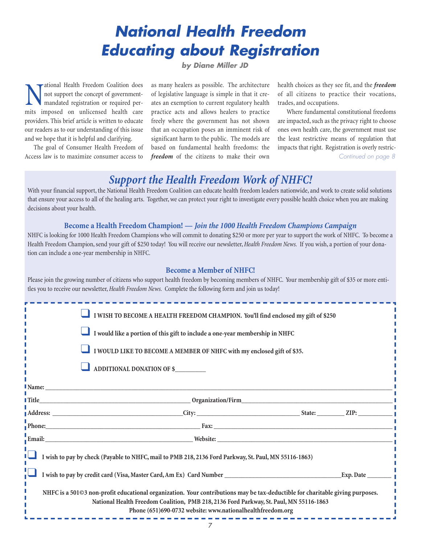# **National Health Freedom Educating about Registration**

### **by Diane Miller JD**

Mational Health Freedom Coalition does<br>not support the concept of government-<br>mandated registration or required per-<br>mits imposed on unlicensed health care not support the concept of governmentmandated registration or required permits imposed on unlicensed health care providers. This brief article is written to educate our readers as to our understanding of this issue and we hope that it is helpful and clarifying.

The goal of Consumer Health Freedom of Access law is to maximize consumer access to

as many healers as possible. The architecture of legislative language is simple in that it creates an exemption to current regulatory health practice acts and allows healers to practice freely where the government has not shown that an occupation poses an imminent risk of significant harm to the public. The models are based on fundamental health freedoms: the *freedom* of the citizens to make their own health choices as they see fit, and the *freedom* of all citizens to practice their vocations, trades, and occupations.

Where fundamental constitutional freedoms are impacted, such as the privacy right to choose ones own health care, the government must use the least restrictive means of regulation that impacts that right. Registration is overly restric-Continued on page 8

### *Support the Health Freedom Work of NHFC!*

With your financial support, the National Health Freedom Coalition can educate health freedom leaders nationwide, and work to create solid solutions that ensure your access to all of the healing arts. Together, we can protect your right to investigate every possible health choice when you are making decisions about your health.

#### **Become a Health Freedom Champion! —** *Join the 1000 Health Freedom Champions Campaign*

NHFC is looking for 1000 Health Freedom Champions who will commit to donating \$250 or more per year to support the work of NHFC. To become a Health Freedom Champion, send your gift of \$250 today! You will receive our newsletter,*Health Freedom News.* If you wish, a portion of your donation can include a one-year membership in NHFC.

#### **Become a Member of NHFC!**

Please join the growing number of citizens who support health freedom by becoming members of NHFC. Your membership gift of \$35 or more entitles you to receive our newsletter,*Health Freedom News.* Complete the following form and join us today!

|                                                                                                       | I WISH TO BECOME A HEALTH FREEDOM CHAMPION. You'll find enclosed my gift of \$250                                                                                                                                                                                                     |  |
|-------------------------------------------------------------------------------------------------------|---------------------------------------------------------------------------------------------------------------------------------------------------------------------------------------------------------------------------------------------------------------------------------------|--|
|                                                                                                       | I would like a portion of this gift to include a one-year membership in NHFC                                                                                                                                                                                                          |  |
|                                                                                                       | I WOULD LIKE TO BECOME A MEMBER OF NHFC with my enclosed gift of \$35.                                                                                                                                                                                                                |  |
|                                                                                                       | ADDITIONAL DONATION OF \$                                                                                                                                                                                                                                                             |  |
|                                                                                                       |                                                                                                                                                                                                                                                                                       |  |
|                                                                                                       |                                                                                                                                                                                                                                                                                       |  |
|                                                                                                       |                                                                                                                                                                                                                                                                                       |  |
|                                                                                                       | Phone: 2008. The Contract of Contract Contract Contract Contract Contract Contract Contract Contract Contract Contract Contract Contract Contract Contract Contract Contract Contract Contract Contract Contract Contract Cont                                                        |  |
|                                                                                                       |                                                                                                                                                                                                                                                                                       |  |
| I wish to pay by check (Payable to NHFC, mail to PMB 218, 2136 Ford Parkway, St. Paul, MN 55116-1863) |                                                                                                                                                                                                                                                                                       |  |
|                                                                                                       |                                                                                                                                                                                                                                                                                       |  |
|                                                                                                       | NHFC is a 501©3 non-profit educational organization. Your contributions may be tax-deductible for charitable giving purposes.<br>National Health Freedom Coalition, PMB 218, 2136 Ford Parkway, St. Paul, MN 55116-1863<br>Phone (651)690-0732 website: www.nationalhealthfreedom.org |  |